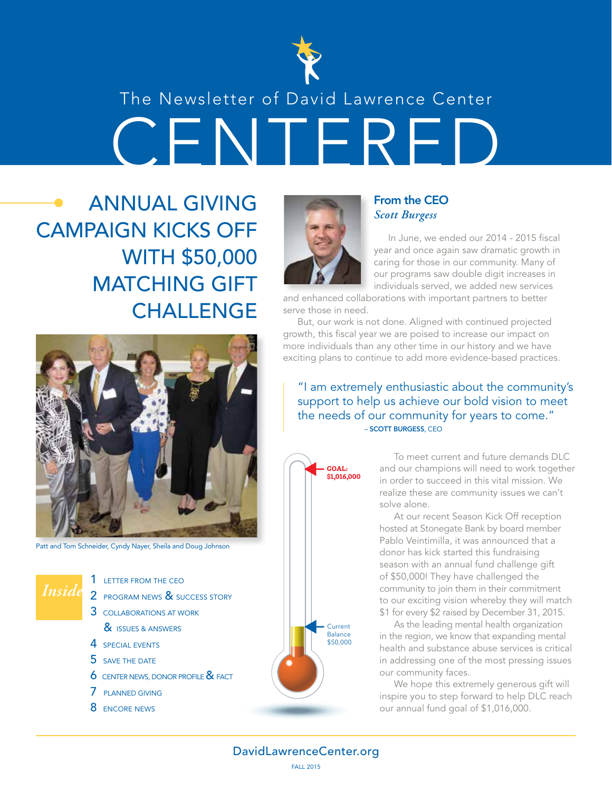

### The Newsletter of David Lawrence Center

**CENTER** 

ANNUAL GIVING CAMPAIGN KICKS OFF WITH \$50,000 MATCHING GIFT **CHALLENGE** 



Patt and Tom Schneider, Cyndy Nayer, Sheila and Doug Johnson

*Inside*

1 LETTER FROM THE CEO 2 PROGRAM NEWS & SUCCESS STORY

- 3 COLLABORATIONS AT WORK
	- & **ISSUES & ANSWERS**
- 4 SPECIAL EVENTS
- 5 SAVE THE DATE
- **6** CENTER NEWS, DONOR PROFILE & FACT
- 7 PLANNED GIVING
- 8 **ENCORE NEWS**



### From the CEO *Scott Burgess*

In June, we ended our 2014 - 2015 fiscal year and once again saw dramatic growth in caring for those in our community. Many of our programs saw double digit increases in individuals served, we added new services

and enhanced collaborations with important partners to better serve those in need.

But, our work is not done. Aligned with continued projected growth, this fiscal year we are poised to increase our impact on more individuals than any other time in our history and we have exciting plans to continue to add more evidence-based practices.

"I am extremely enthusiastic about the community's support to help us achieve our bold vision to meet the needs of our community for years to come." – SCOTT BURGESS, CEO



To meet current and future demands DLC and our champions will need to work together in order to succeed in this vital mission. We realize these are community issues we can't solve alone.

At our recent Season Kick Off reception hosted at Stonegate Bank by board member Pablo Veintimilla, it was announced that a donor has kick started this fundraising season with an annual fund challenge gift of \$50,000! They have challenged the community to join them in their commitment to our exciting vision whereby they will match \$1 for every \$2 raised by December 31, 2015.

As the leading mental health organization in the region, we know that expanding mental health and substance abuse services is critical in addressing one of the most pressing issues our community faces.

We hope this extremely generous gift will inspire you to step forward to help DLC reach our annual fund goal of \$1,016,000.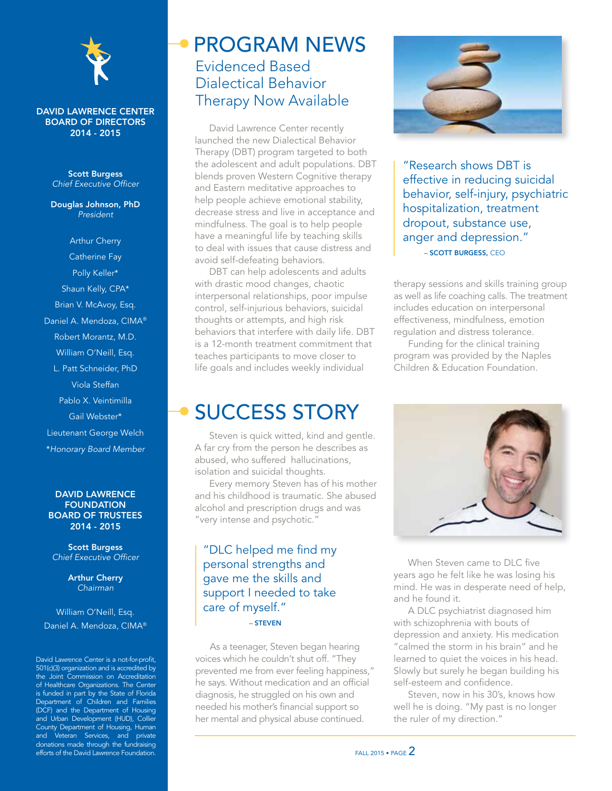

### DAVID LAWRENCE CENTER BOARD OF DIRECTORS 2014 - 2015

Scott Burgess *Chief Executive Officer*

Douglas Johnson, PhD *President*

Arthur Cherry Catherine Fay Polly Keller\* Shaun Kelly, CPA\* Brian V. McAvoy, Esq. Daniel A. Mendoza, CIMA® Robert Morantz, M.D. William O'Neill, Esq. L. Patt Schneider, PhD Viola Steffan Pablo X. Veintimilla Gail Webster\* Lieutenant George Welch \**Honorary Board Member*

### DAVID LAWRENCE **FOUNDATION** BOARD OF TRUSTEES 2014 - 2015

Scott Burgess *Chief Executive Officer*

> Arthur Cherry *Chairman*

William O'Neill, Esq. Daniel A. Mendoza, CIMA®

David Lawrence Center is a not-for-profit, 501(c)(3) organization and is accredited by the Joint Commission on Accreditation of Healthcare Organizations. The Center is funded in part by the State of Florida Department of Children and Families (DCF) and the Department of Housing and Urban Development (HUD), Collier County Department of Housing, Human and Veteran Services, and private donations made through the fundraising efforts of the David Lawrence Foundation.

### Evidenced Based Dialectical Behavior Therapy Now Available PROGRAM NEWS

David Lawrence Center recently launched the new Dialectical Behavior Therapy (DBT) program targeted to both the adolescent and adult populations. DBT blends proven Western Cognitive therapy and Eastern meditative approaches to help people achieve emotional stability, decrease stress and live in acceptance and mindfulness. The goal is to help people have a meaningful life by teaching skills to deal with issues that cause distress and avoid self-defeating behaviors.

DBT can help adolescents and adults with drastic mood changes, chaotic interpersonal relationships, poor impulse control, self-injurious behaviors, suicidal thoughts or attempts, and high risk behaviors that interfere with daily life. DBT is a 12-month treatment commitment that teaches participants to move closer to life goals and includes weekly individual

### SUCCESS STORY

Steven is quick witted, kind and gentle. A far cry from the person he describes as abused, who suffered hallucinations, isolation and suicidal thoughts.

Every memory Steven has of his mother and his childhood is traumatic. She abused alcohol and prescription drugs and was "very intense and psychotic."

### "DLC helped me find my personal strengths and gave me the skills and support I needed to take care of myself." – STEVEN

As a teenager, Steven began hearing voices which he couldn't shut off. "They prevented me from ever feeling happiness," he says. Without medication and an official diagnosis, he struggled on his own and needed his mother's financial support so her mental and physical abuse continued.



"Research shows DBT is effective in reducing suicidal behavior, self-injury, psychiatric hospitalization, treatment dropout, substance use, anger and depression." – SCOTT BURGESS, CEO

therapy sessions and skills training group as well as life coaching calls. The treatment includes education on interpersonal effectiveness, mindfulness, emotion regulation and distress tolerance.

Funding for the clinical training program was provided by the Naples Children & Education Foundation.



When Steven came to DLC five years ago he felt like he was losing his mind. He was in desperate need of help, and he found it.

A DLC psychiatrist diagnosed him with schizophrenia with bouts of depression and anxiety. His medication "calmed the storm in his brain" and he learned to quiet the voices in his head. Slowly but surely he began building his self-esteem and confidence.

Steven, now in his 30's, knows how well he is doing. "My past is no longer the ruler of my direction."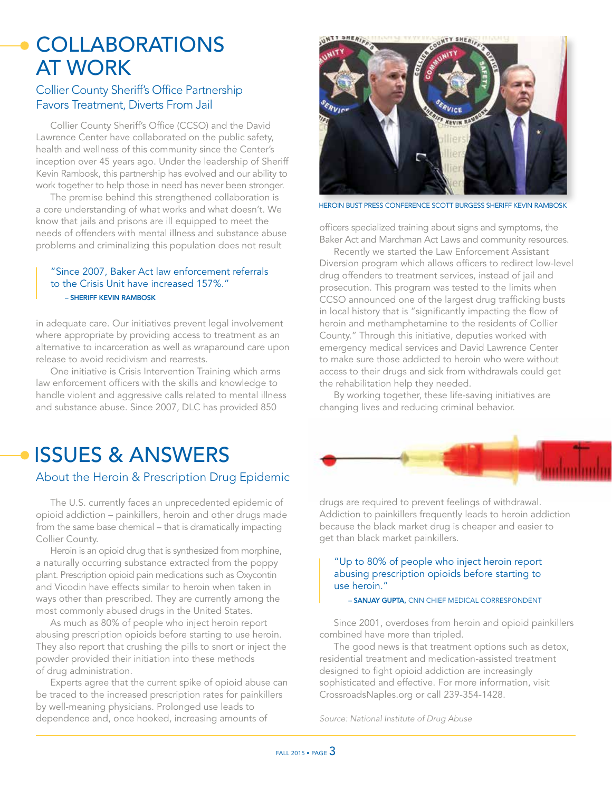## **COLLABORATIONS** AT WORK

### Collier County Sheriff's Office Partnership Favors Treatment, Diverts From Jail

Collier County Sheriff's Office (CCSO) and the David Lawrence Center have collaborated on the public safety, health and wellness of this community since the Center's inception over 45 years ago. Under the leadership of Sheriff Kevin Rambosk, this partnership has evolved and our ability to work together to help those in need has never been stronger.

The premise behind this strengthened collaboration is a core understanding of what works and what doesn't. We know that jails and prisons are ill equipped to meet the needs of offenders with mental illness and substance abuse problems and criminalizing this population does not result

### "Since 2007, Baker Act law enforcement referrals to the Crisis Unit have increased 157%." – SHERIFF KEVIN RAMBOSK

in adequate care. Our initiatives prevent legal involvement where appropriate by providing access to treatment as an alternative to incarceration as well as wraparound care upon release to avoid recidivism and rearrests.

One initiative is Crisis Intervention Training which arms law enforcement officers with the skills and knowledge to handle violent and aggressive calls related to mental illness and substance abuse. Since 2007, DLC has provided 850

## ISSUES & ANSWERS

### About the Heroin & Prescription Drug Epidemic

The U.S. currently faces an unprecedented epidemic of opioid addiction – painkillers, heroin and other drugs made from the same base chemical – that is dramatically impacting Collier County.

Heroin is an opioid drug that is synthesized from morphine, a naturally occurring substance extracted from the poppy plant. Prescription opioid pain medications such as Oxycontin and Vicodin have effects similar to heroin when taken in ways other than prescribed. They are currently among the most commonly abused drugs in the United States.

As much as 80% of people who inject heroin report abusing prescription opioids before starting to use heroin. They also report that crushing the pills to snort or inject the powder provided their initiation into these methods of drug administration.

Experts agree that the current spike of opioid abuse can be traced to the increased prescription rates for painkillers by well-meaning physicians. Prolonged use leads to dependence and, once hooked, increasing amounts of

### UNIT SHERI



HEROIN BUST PRESS CONFERENCE SCOTT BURGESS SHERIFF KEVIN RAMBOSK

officers specialized training about signs and symptoms, the Baker Act and Marchman Act Laws and community resources.

Recently we started the Law Enforcement Assistant Diversion program which allows officers to redirect low-level drug offenders to treatment services, instead of jail and prosecution. This program was tested to the limits when CCSO announced one of the largest drug trafficking busts in local history that is "significantly impacting the flow of heroin and methamphetamine to the residents of Collier County." Through this initiative, deputies worked with emergency medical services and David Lawrence Center to make sure those addicted to heroin who were without access to their drugs and sick from withdrawals could get the rehabilitation help they needed.

By working together, these life-saving initiatives are changing lives and reducing criminal behavior.

drugs are required to prevent feelings of withdrawal. Addiction to painkillers frequently leads to heroin addiction because the black market drug is cheaper and easier to get than black market painkillers.

### "Up to 80% of people who inject heroin report abusing prescription opioids before starting to use heroin."

– SANJAY GUPTA, CNN CHIEF MEDICAL CORRESPONDENT

Since 2001, overdoses from heroin and opioid painkillers combined have more than tripled.

The good news is that treatment options such as detox, residential treatment and medication-assisted treatment designed to fight opioid addiction are increasingly sophisticated and effective. For more information, visit CrossroadsNaples.org or call 239-354-1428.

*Source: National Institute of Drug Abuse*

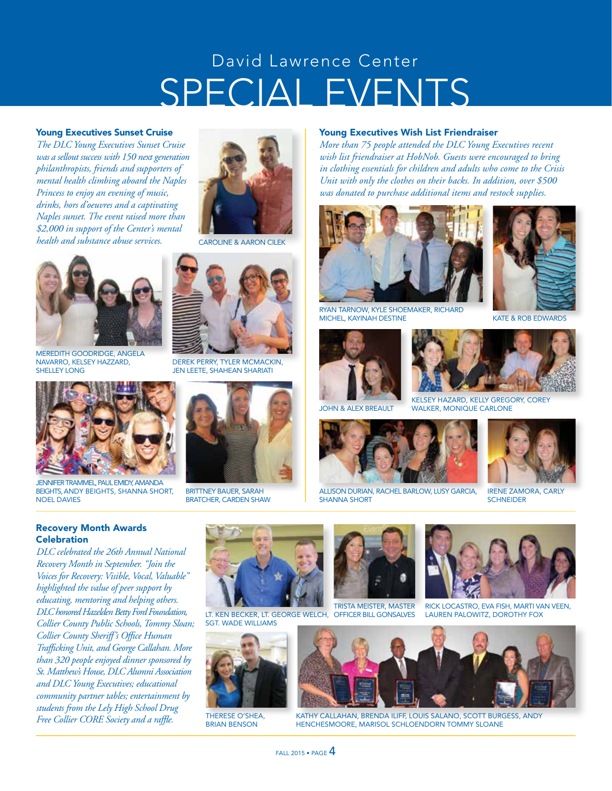# SPECIAL EVENTS David Lawrence Center

### Young Executives Sunset Cruise

*The DLC Young Executives Sunset Cruise was a sellout success with 150 next generation philanthropists, friends and supporters of mental health climbing aboard the Naples Princess to enjoy an evening of music, drinks, hors d'oeuvres and a captivating Naples sunset. The event raised more than \$2,000 in support of the Center's mental health and substance abuse services.*



CAROLINE & AARON CILEK



MEREDITH GOODRIDGE, ANGELA NAVARRO, KELSEY HAZZARD, SHELLEY LONG



JENNIFER TRAMMEL, PAUL EMIDY, AMANDA BEIGHTS, ANDY BEIGHTS, SHANNA SHORT, NOEL DAVIES

### Recovery Month Awards **Celebration**

*DLC celebrated the 26th Annual National Recovery Month in September. "Join the Voices for Recovery: Visible, Vocal, Valuable" highlighted the value of peer support by educating, mentoring and helping others. DLC honored Hazelden Betty Ford Foundation, Collier County Public Schools, Tommy Sloan; Collier County Sheriff's Office Human Trafficking Unit, and George Callahan. More than 320 people enjoyed dinner sponsored by St. Matthew's House, DLC Alumni Association and DLC Young Executives; educational community partner tables; entertainment by students from the Lely High School Drug Free Collier CORE Society and a raffle.*



DEREK PERRY, TYLER MCMACKIN,

BRITTNEY BAUER, SARAH BRATCHER, CARDEN SHAW



*More than 75 people attended the DLC Young Executives recent wish list friendraiser at HobNob. Guests were encouraged to bring in clothing essentials for children and adults who come to the Crisis Unit with only the clothes on their backs. In addition, over \$500 was donated to purchase additional items and restock supplies.*



RYAN TARNOW, KYLE SHOEMAKER, RICHARD MICHEL, KAYINAH DESTINE





ALLISON DURIAN, RACHEL BARLOW, LUSY GARCIA, SHANNA SHORT



KATE & ROB EDWARDS



KELSEY HAZARD, KELLY GREGORY, COREY JOHN & ALEX BREAULT WALKER, MONIQUE CARLONE



IRENE ZAMORA, CARLY **SCHNEIDER** 



LT. KEN BECKER, LT. GEORGE WELCH, OFFICER BILL GONSALVES SGT. WADE WILLIAMS



THERESE O'SHEA BRIAN BENSON





RICK LOCASTRO, EVA FISH, MARTI VAN VEEN, LAUREN PALOWITZ, DOROTHY FOX



KATHY CALLAHAN, BRENDA ILIFF, LOUIS SALANO, SCOTT BURGESS, ANDY HENCHESMOORE, MARISOL SCHLOENDORN TOMMY SLOANE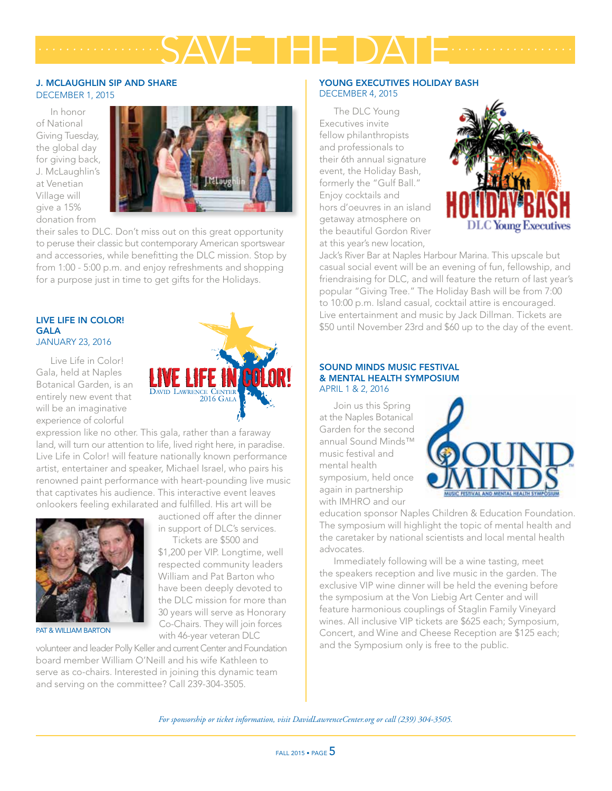# SAVE THE DATE *.................. ..................*

### J. MCLAUGHLIN SIP AND SHARE

DECEMBER 1, 2015

In honor of National Giving Tuesday, the global day for giving back, J. McLaughlin's at Venetian Village will give a 15% donation from



their sales to DLC. Don't miss out on this great opportunity to peruse their classic but contemporary American sportswear and accessories, while benefitting the DLC mission. Stop by from 1:00 - 5:00 p.m. and enjoy refreshments and shopping for a purpose just in time to get gifts for the Holidays.

### LIVE LIFE IN COLOR! GALA JANUARY 23, 2016

Live Life in Color! Gala, held at Naples Botanical Garden, is an entirely new event that will be an imaginative experience of colorful



expression like no other. This gala, rather than a faraway land, will turn our attention to life, lived right here, in paradise. Live Life in Color! will feature nationally known performance artist, entertainer and speaker, Michael Israel, who pairs his renowned paint performance with heart-pounding live music that captivates his audience. This interactive event leaves onlookers feeling exhilarated and fulfilled. His art will be



auctioned off after the dinner in support of DLC's services.

Tickets are \$500 and \$1,200 per VIP. Longtime, well respected community leaders William and Pat Barton who have been deeply devoted to the DLC mission for more than

30 years will serve as Honorary PAT & WILLIAM BARTON Co-Chairs. They will join forces with 46-year veteran DLC

volunteer and leader Polly Keller and current Center and Foundation board member William O'Neill and his wife Kathleen to serve as co-chairs. Interested in joining this dynamic team and serving on the committee? Call 239-304-3505.

### YOUNG EXECUTIVES HOLIDAY BASH DECEMBER 4, 2015

The DLC Young Executives invite fellow philanthropists and professionals to their 6th annual signature event, the Holiday Bash, formerly the "Gulf Ball." Enjoy cocktails and hors d'oeuvres in an island getaway atmosphere on the beautiful Gordon River at this year's new location,



Jack's River Bar at Naples Harbour Marina. This upscale but casual social event will be an evening of fun, fellowship, and friendraising for DLC, and will feature the return of last year's popular "Giving Tree." The Holiday Bash will be from 7:00 to 10:00 p.m. Island casual, cocktail attire is encouraged. Live entertainment and music by Jack Dillman. Tickets are \$50 until November 23rd and \$60 up to the day of the event.

### SOUND MINDS MUSIC FESTIVAL & MENTAL HEALTH SYMPOSIUM APRIL 1 & 2, 2016

Join us this Spring at the Naples Botanical Garden for the second annual Sound Minds™ music festival and mental health symposium, held once again in partnership with IMHRO and our



education sponsor Naples Children & Education Foundation. The symposium will highlight the topic of mental health and the caretaker by national scientists and local mental health advocates.

Immediately following will be a wine tasting, meet the speakers reception and live music in the garden. The exclusive VIP wine dinner will be held the evening before the symposium at the Von Liebig Art Center and will feature harmonious couplings of Staglin Family Vineyard wines. All inclusive VIP tickets are \$625 each; Symposium, Concert, and Wine and Cheese Reception are \$125 each; and the Symposium only is free to the public.

*For sponsorship or ticket information, visit DavidLawrenceCenter.org or call (239) 304-3505.*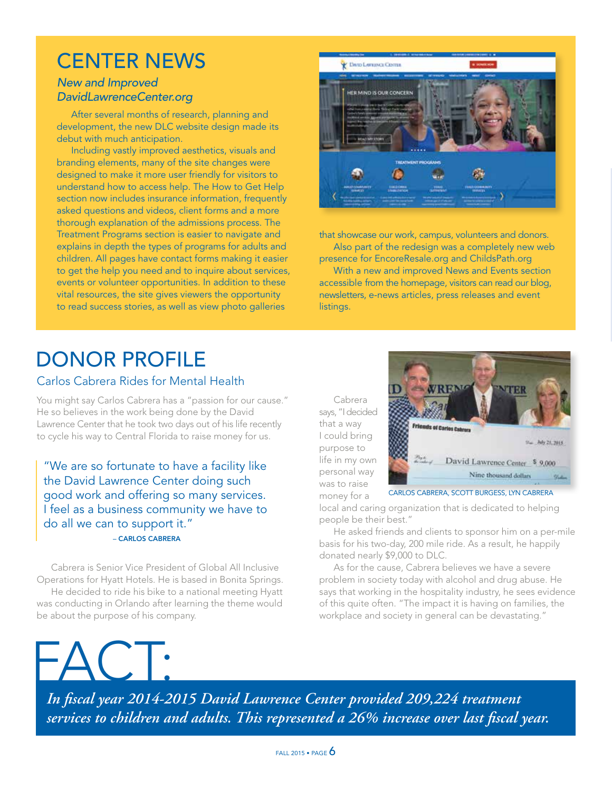## CENTER NEWS

### *New and Improved DavidLawrenceCenter.org*

After several months of research, planning and development, the new DLC website design made its debut with much anticipation.

Including vastly improved aesthetics, visuals and branding elements, many of the site changes were designed to make it more user friendly for visitors to understand how to access help. The How to Get Help section now includes insurance information, frequently asked questions and videos, client forms and a more thorough explanation of the admissions process. The Treatment Programs section is easier to navigate and explains in depth the types of programs for adults and children. All pages have contact forms making it easier to get the help you need and to inquire about services, events or volunteer opportunities. In addition to these vital resources, the site gives viewers the opportunity to read success stories, as well as view photo galleries



that showcase our work, campus, volunteers and donors. Also part of the redesign was a completely new web presence for EncoreResale.org and ChildsPath.org

With a new and improved News and Events section accessible from the homepage, visitors can read our blog, newsletters, e-news articles, press releases and event listings.

# DONOR PROFILE

### Carlos Cabrera Rides for Mental Health

You might say Carlos Cabrera has a "passion for our cause." He so believes in the work being done by the David Lawrence Center that he took two days out of his life recently to cycle his way to Central Florida to raise money for us.

"We are so fortunate to have a facility like the David Lawrence Center doing such good work and offering so many services. I feel as a business community we have to do all we can to support it." – CARLOS CABRERA

Cabrera is Senior Vice President of Global All Inclusive Operations for Hyatt Hotels. He is based in Bonita Springs. He decided to ride his bike to a national meeting Hyatt was conducting in Orlando after learning the theme would be about the purpose of his company.

Cabrera says, "I decided that a way I could bring purpose to life in my own personal way was to raise money for a



local and caring organization that is dedicated to helping people be their best."

He asked friends and clients to sponsor him on a per-mile basis for his two-day, 200 mile ride. As a result, he happily donated nearly \$9,000 to DLC.

As for the cause, Cabrera believes we have a severe problem in society today with alcohol and drug abuse. He says that working in the hospitality industry, he sees evidence of this quite often. "The impact it is having on families, the workplace and society in general can be devastating."

FACT:

*In fiscal year 2014-2015 David Lawrence Center provided 209,224 treatment services to children and adults. This represented a 26% increase over last fiscal year.*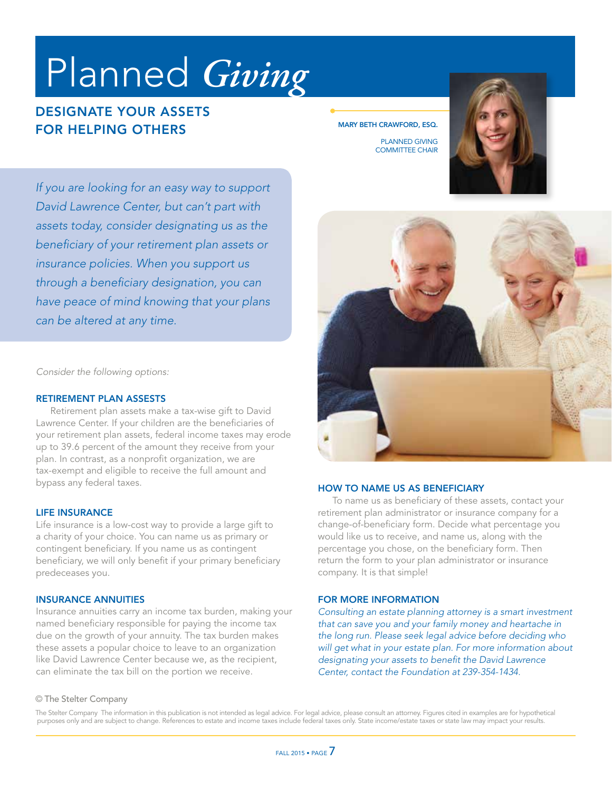# Planned *Giving*

### DESIGNATE YOUR ASSETS FOR HELPING OTHERS

MARY BETH CRAWFORD, ESQ.

PLANNED GIVING COMMITTEE CHAIR



*If you are looking for an easy way to support David Lawrence Center, but can't part with assets today, consider designating us as the beneficiary of your retirement plan assets or insurance policies. When you support us through a beneficiary designation, you can have peace of mind knowing that your plans can be altered at any time.*

*Consider the following options:*

### RETIREMENT PLAN ASSESTS

Retirement plan assets make a tax-wise gift to David Lawrence Center. If your children are the beneficiaries of your retirement plan assets, federal income taxes may erode up to 39.6 percent of the amount they receive from your plan. In contrast, as a nonprofit organization, we are tax-exempt and eligible to receive the full amount and bypass any federal taxes.

### LIFE INSURANCE

Life insurance is a low-cost way to provide a large gift to a charity of your choice. You can name us as primary or contingent beneficiary. If you name us as contingent beneficiary, we will only benefit if your primary beneficiary predeceases you.

### INSURANCE ANNUITIES

Insurance annuities carry an income tax burden, making your named beneficiary responsible for paying the income tax due on the growth of your annuity. The tax burden makes these assets a popular choice to leave to an organization like David Lawrence Center because we, as the recipient, can eliminate the tax bill on the portion we receive.



### HOW TO NAME US AS BENEFICIARY

To name us as beneficiary of these assets, contact your retirement plan administrator or insurance company for a change-of-beneficiary form. Decide what percentage you would like us to receive, and name us, along with the percentage you chose, on the beneficiary form. Then return the form to your plan administrator or insurance company. It is that simple!

### FOR MORE INFORMATION

*Consulting an estate planning attorney is a smart investment that can save you and your family money and heartache in the long run. Please seek legal advice before deciding who will get what in your estate plan. For more information about designating your assets to benefit the David Lawrence Center, contact the Foundation at 239-354-1434.* 

#### © The Stelter Company

The Stelter Company The information in this publication is not intended as legal advice. For legal advice, please consult an attorney. Figures cited in examples are for hypothetical purposes only and are subject to change. References to estate and income taxes include federal taxes only. State income/estate taxes or state law may impact your results.